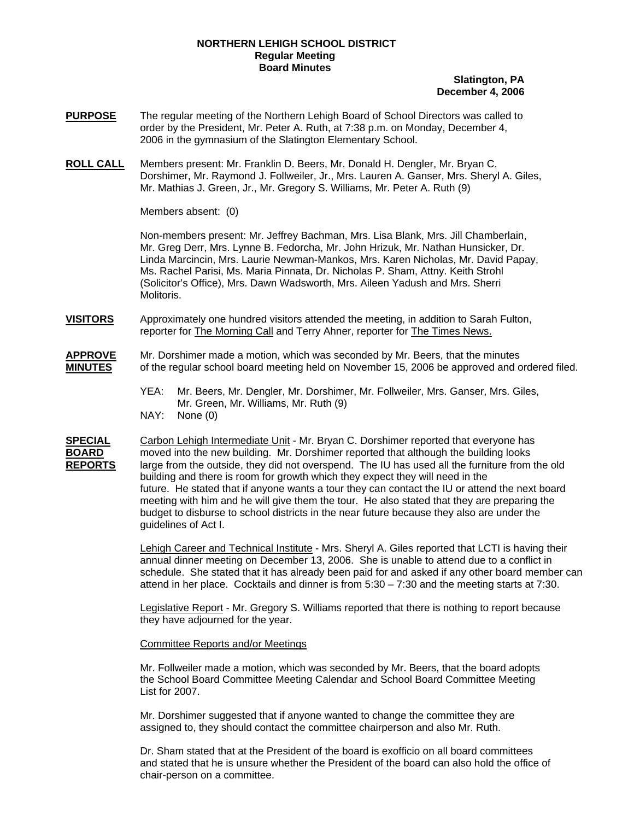## **NORTHERN LEHIGH SCHOOL DISTRICT Regular Meeting Board Minutes**

## **Slatington, PA December 4, 2006**

- **PURPOSE** The regular meeting of the Northern Lehigh Board of School Directors was called to order by the President, Mr. Peter A. Ruth, at 7:38 p.m. on Monday, December 4, 2006 in the gymnasium of the Slatington Elementary School.
- **ROLL CALL** Members present: Mr. Franklin D. Beers, Mr. Donald H. Dengler, Mr. Bryan C. Dorshimer, Mr. Raymond J. Follweiler, Jr., Mrs. Lauren A. Ganser, Mrs. Sheryl A. Giles, Mr. Mathias J. Green, Jr., Mr. Gregory S. Williams, Mr. Peter A. Ruth (9)

Members absent: (0)

Non-members present: Mr. Jeffrey Bachman, Mrs. Lisa Blank, Mrs. Jill Chamberlain, Mr. Greg Derr, Mrs. Lynne B. Fedorcha, Mr. John Hrizuk, Mr. Nathan Hunsicker, Dr. Linda Marcincin, Mrs. Laurie Newman-Mankos, Mrs. Karen Nicholas, Mr. David Papay, Ms. Rachel Parisi, Ms. Maria Pinnata, Dr. Nicholas P. Sham, Attny. Keith Strohl (Solicitor's Office), Mrs. Dawn Wadsworth, Mrs. Aileen Yadush and Mrs. Sherri Molitoris.

**VISITORS** Approximately one hundred visitors attended the meeting, in addition to Sarah Fulton, reporter for The Morning Call and Terry Ahner, reporter for The Times News.

**APPROVE** Mr. Dorshimer made a motion, which was seconded by Mr. Beers, that the minutes **MINUTES** of the regular school board meeting held on November 15, 2006 be approved and ordered filed.

- YEA: Mr. Beers, Mr. Dengler, Mr. Dorshimer, Mr. Follweiler, Mrs. Ganser, Mrs. Giles, Mr. Green, Mr. Williams, Mr. Ruth (9) NAY: None (0)
- **SPECIAL** Carbon Lehigh Intermediate Unit Mr. Bryan C. Dorshimer reported that everyone has **BOARD** moved into the new building. Mr. Dorshimer reported that although the building looks **REPORTS** large from the outside, they did not overspend. The IU has used all the furniture from the old building and there is room for growth which they expect they will need in the future. He stated that if anyone wants a tour they can contact the IU or attend the next board meeting with him and he will give them the tour. He also stated that they are preparing the budget to disburse to school districts in the near future because they also are under the guidelines of Act I.

Lehigh Career and Technical Institute - Mrs. Sheryl A. Giles reported that LCTI is having their annual dinner meeting on December 13, 2006. She is unable to attend due to a conflict in schedule. She stated that it has already been paid for and asked if any other board member can attend in her place. Cocktails and dinner is from  $5:30 - 7:30$  and the meeting starts at  $7:30$ .

Legislative Report - Mr. Gregory S. Williams reported that there is nothing to report because they have adjourned for the year.

#### Committee Reports and/or Meetings

Mr. Follweiler made a motion, which was seconded by Mr. Beers, that the board adopts the School Board Committee Meeting Calendar and School Board Committee Meeting List for 2007.

Mr. Dorshimer suggested that if anyone wanted to change the committee they are assigned to, they should contact the committee chairperson and also Mr. Ruth.

Dr. Sham stated that at the President of the board is exofficio on all board committees and stated that he is unsure whether the President of the board can also hold the office of chair-person on a committee.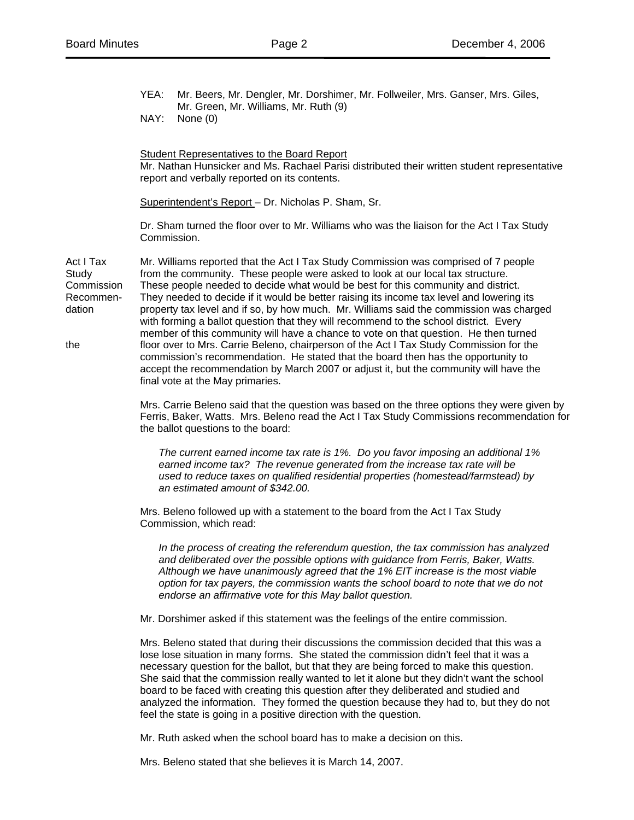YEA: Mr. Beers, Mr. Dengler, Mr. Dorshimer, Mr. Follweiler, Mrs. Ganser, Mrs. Giles, Mr. Green, Mr. Williams, Mr. Ruth (9)

NAY: None (0)

Student Representatives to the Board Report Mr. Nathan Hunsicker and Ms. Rachael Parisi distributed their written student representative report and verbally reported on its contents.

Superintendent's Report – Dr. Nicholas P. Sham, Sr.

Dr. Sham turned the floor over to Mr. Williams who was the liaison for the Act I Tax Study Commission.

Act I Tax Mr. Williams reported that the Act I Tax Study Commission was comprised of 7 people Study from the community. These people were asked to look at our local tax structure. Commission These people needed to decide what would be best for this community and district. Recommen- They needed to decide if it would be better raising its income tax level and lowering its dation property tax level and if so, by how much. Mr. Williams said the commission was charged with forming a ballot question that they will recommend to the school district. Every member of this community will have a chance to vote on that question. He then turned the floor over to Mrs. Carrie Beleno, chairperson of the Act I Tax Study Commission for the commission's recommendation. He stated that the board then has the opportunity to accept the recommendation by March 2007 or adjust it, but the community will have the final vote at the May primaries.

> Mrs. Carrie Beleno said that the question was based on the three options they were given by Ferris, Baker, Watts. Mrs. Beleno read the Act I Tax Study Commissions recommendation for the ballot questions to the board:

 *The current earned income tax rate is 1%. Do you favor imposing an additional 1% earned income tax? The revenue generated from the increase tax rate will be used to reduce taxes on qualified residential properties (homestead/farmstead) by an estimated amount of \$342.00.* 

Mrs. Beleno followed up with a statement to the board from the Act I Tax Study Commission, which read:

*In the process of creating the referendum question, the tax commission has analyzed and deliberated over the possible options with guidance from Ferris, Baker, Watts. Although we have unanimously agreed that the 1% EIT increase is the most viable option for tax payers, the commission wants the school board to note that we do not endorse an affirmative vote for this May ballot question.* 

Mr. Dorshimer asked if this statement was the feelings of the entire commission.

Mrs. Beleno stated that during their discussions the commission decided that this was a lose lose situation in many forms. She stated the commission didn't feel that it was a necessary question for the ballot, but that they are being forced to make this question. She said that the commission really wanted to let it alone but they didn't want the school board to be faced with creating this question after they deliberated and studied and analyzed the information. They formed the question because they had to, but they do not feel the state is going in a positive direction with the question.

Mr. Ruth asked when the school board has to make a decision on this.

Mrs. Beleno stated that she believes it is March 14, 2007.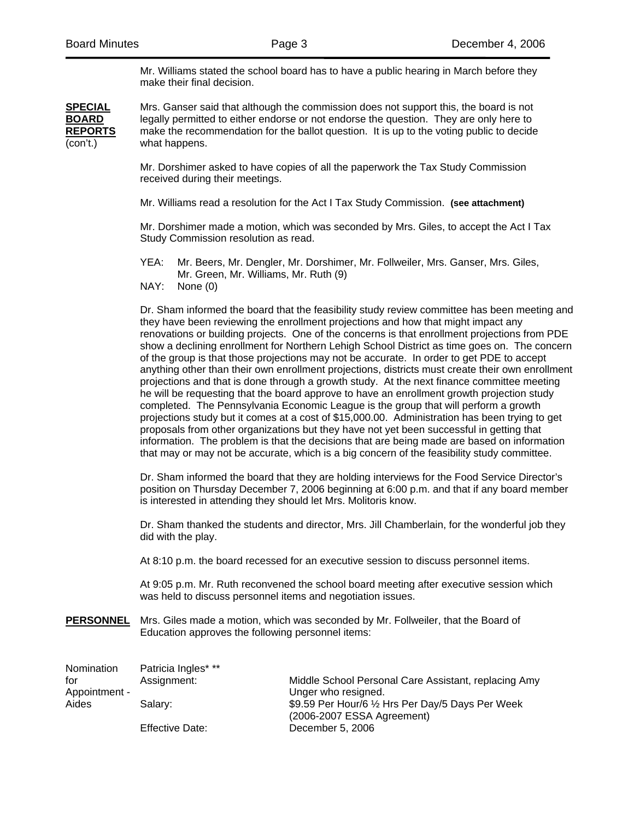Mr. Williams stated the school board has to have a public hearing in March before they make their final decision.

**SPECIAL** Mrs. Ganser said that although the commission does not support this, the board is not **BOARD** legally permitted to either endorse or not endorse the question. They are only here to **REPORTS** make the recommendation for the ballot question. It is up to the voting public to decide (con't.) what happens.

> Mr. Dorshimer asked to have copies of all the paperwork the Tax Study Commission received during their meetings.

> Mr. Williams read a resolution for the Act I Tax Study Commission. **(see attachment)**

Mr. Dorshimer made a motion, which was seconded by Mrs. Giles, to accept the Act I Tax Study Commission resolution as read.

- YEA: Mr. Beers, Mr. Dengler, Mr. Dorshimer, Mr. Follweiler, Mrs. Ganser, Mrs. Giles, Mr. Green, Mr. Williams, Mr. Ruth (9)
- NAY: None (0)

 Dr. Sham informed the board that the feasibility study review committee has been meeting and they have been reviewing the enrollment projections and how that might impact any renovations or building projects. One of the concerns is that enrollment projections from PDE show a declining enrollment for Northern Lehigh School District as time goes on. The concern of the group is that those projections may not be accurate. In order to get PDE to accept anything other than their own enrollment projections, districts must create their own enrollment projections and that is done through a growth study. At the next finance committee meeting he will be requesting that the board approve to have an enrollment growth projection study completed. The Pennsylvania Economic League is the group that will perform a growth projections study but it comes at a cost of \$15,000.00. Administration has been trying to get proposals from other organizations but they have not yet been successful in getting that information. The problem is that the decisions that are being made are based on information that may or may not be accurate, which is a big concern of the feasibility study committee.

 Dr. Sham informed the board that they are holding interviews for the Food Service Director's position on Thursday December 7, 2006 beginning at 6:00 p.m. and that if any board member is interested in attending they should let Mrs. Molitoris know.

 Dr. Sham thanked the students and director, Mrs. Jill Chamberlain, for the wonderful job they did with the play.

At 8:10 p.m. the board recessed for an executive session to discuss personnel items.

 At 9:05 p.m. Mr. Ruth reconvened the school board meeting after executive session which was held to discuss personnel items and negotiation issues.

**PERSONNEL** Mrs. Giles made a motion, which was seconded by Mr. Follweiler, that the Board of Education approves the following personnel items:

| Nomination    | Patricia Ingles* **    |                                                      |
|---------------|------------------------|------------------------------------------------------|
| for           | Assignment:            | Middle School Personal Care Assistant, replacing Amy |
| Appointment - |                        | Unger who resigned.                                  |
| Aides         | Salarv:                | \$9.59 Per Hour/6 1/2 Hrs Per Day/5 Days Per Week    |
|               |                        | (2006-2007 ESSA Agreement)                           |
|               | <b>Effective Date:</b> | December 5, 2006                                     |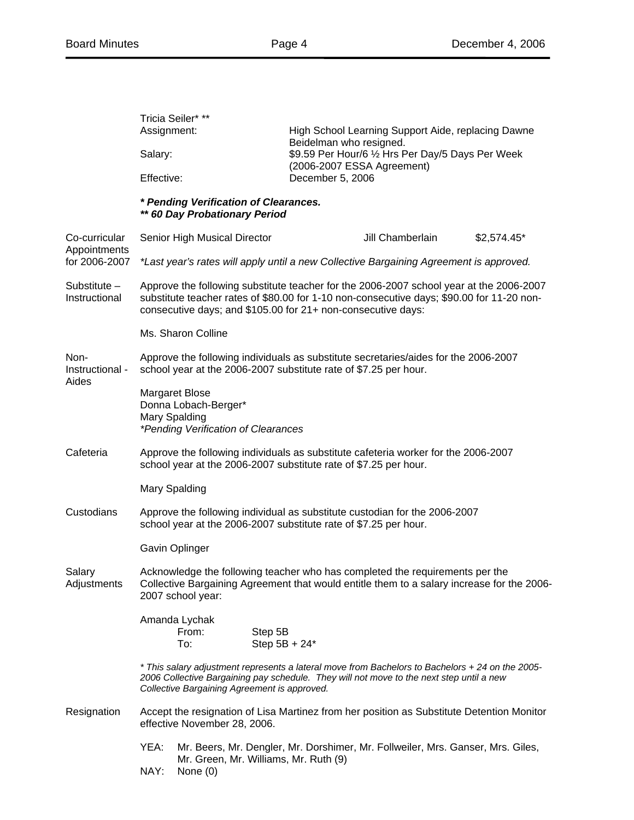|                                                | Assignment:                                                                                                                                                                                                                                          | Tricia Seiler* **                                                               |                            | High School Learning Support Aide, replacing Dawne<br>Beidelman who resigned.   |              |  |  |
|------------------------------------------------|------------------------------------------------------------------------------------------------------------------------------------------------------------------------------------------------------------------------------------------------------|---------------------------------------------------------------------------------|----------------------------|---------------------------------------------------------------------------------|--------------|--|--|
|                                                | Salary:                                                                                                                                                                                                                                              |                                                                                 |                            | \$9.59 Per Hour/6 1/2 Hrs Per Day/5 Days Per Week<br>(2006-2007 ESSA Agreement) |              |  |  |
|                                                | Effective:                                                                                                                                                                                                                                           |                                                                                 |                            | December 5, 2006                                                                |              |  |  |
|                                                | * Pending Verification of Clearances.<br>** 60 Day Probationary Period                                                                                                                                                                               |                                                                                 |                            |                                                                                 |              |  |  |
| Co-curricular<br>Appointments<br>for 2006-2007 |                                                                                                                                                                                                                                                      | Senior High Musical Director                                                    |                            | Jill Chamberlain                                                                | $$2,574.45*$ |  |  |
|                                                | *Last year's rates will apply until a new Collective Bargaining Agreement is approved.                                                                                                                                                               |                                                                                 |                            |                                                                                 |              |  |  |
| Substitute -<br>Instructional                  | Approve the following substitute teacher for the 2006-2007 school year at the 2006-2007<br>substitute teacher rates of \$80.00 for 1-10 non-consecutive days; \$90.00 for 11-20 non-<br>consecutive days; and \$105.00 for 21+ non-consecutive days: |                                                                                 |                            |                                                                                 |              |  |  |
|                                                | Ms. Sharon Colline                                                                                                                                                                                                                                   |                                                                                 |                            |                                                                                 |              |  |  |
| Non-<br>Instructional -<br>Aides               | Approve the following individuals as substitute secretaries/aides for the 2006-2007<br>school year at the 2006-2007 substitute rate of \$7.25 per hour.                                                                                              |                                                                                 |                            |                                                                                 |              |  |  |
|                                                | <b>Margaret Blose</b><br>Donna Lobach-Berger*<br>Mary Spalding<br>*Pending Verification of Clearances                                                                                                                                                |                                                                                 |                            |                                                                                 |              |  |  |
| Cafeteria                                      | Approve the following individuals as substitute cafeteria worker for the 2006-2007<br>school year at the 2006-2007 substitute rate of \$7.25 per hour.                                                                                               |                                                                                 |                            |                                                                                 |              |  |  |
|                                                | Mary Spalding                                                                                                                                                                                                                                        |                                                                                 |                            |                                                                                 |              |  |  |
| Custodians                                     | Approve the following individual as substitute custodian for the 2006-2007<br>school year at the 2006-2007 substitute rate of \$7.25 per hour.                                                                                                       |                                                                                 |                            |                                                                                 |              |  |  |
|                                                | Gavin Oplinger                                                                                                                                                                                                                                       |                                                                                 |                            |                                                                                 |              |  |  |
| Salary<br>Adjustments                          | Acknowledge the following teacher who has completed the requirements per the<br>Collective Bargaining Agreement that would entitle them to a salary increase for the 2006-<br>2007 school year:                                                      |                                                                                 |                            |                                                                                 |              |  |  |
|                                                |                                                                                                                                                                                                                                                      | Amanda Lychak<br>From:<br>To:                                                   | Step 5B<br>Step $5B + 24*$ |                                                                                 |              |  |  |
|                                                | * This salary adjustment represents a lateral move from Bachelors to Bachelors + 24 on the 2005-<br>2006 Collective Bargaining pay schedule. They will not move to the next step until a new<br>Collective Bargaining Agreement is approved.         |                                                                                 |                            |                                                                                 |              |  |  |
| Resignation                                    | Accept the resignation of Lisa Martinez from her position as Substitute Detention Monitor<br>effective November 28, 2006.                                                                                                                            |                                                                                 |                            |                                                                                 |              |  |  |
|                                                | YEA:                                                                                                                                                                                                                                                 | Mr. Beers, Mr. Dengler, Mr. Dorshimer, Mr. Follweiler, Mrs. Ganser, Mrs. Giles, |                            |                                                                                 |              |  |  |
|                                                | Mr. Green, Mr. Williams, Mr. Ruth (9)<br>NAY:<br>None $(0)$                                                                                                                                                                                          |                                                                                 |                            |                                                                                 |              |  |  |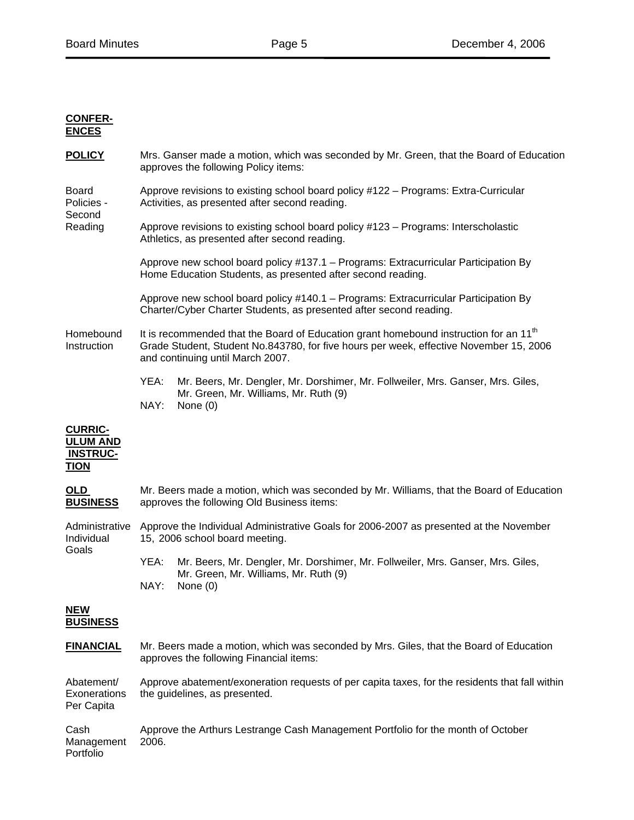## **CONFER-ENCES**

**POLICY** Mrs. Ganser made a motion, which was seconded by Mr. Green, that the Board of Education approves the following Policy items:

Board Approve revisions to existing school board policy #122 – Programs: Extra-Curricular Policies - Activities, as presented after second reading. Second

Reading Approve revisions to existing school board policy #123 – Programs: Interscholastic Athletics, as presented after second reading.

> Approve new school board policy #137.1 – Programs: Extracurricular Participation By Home Education Students, as presented after second reading.

> Approve new school board policy #140.1 – Programs: Extracurricular Participation By Charter/Cyber Charter Students, as presented after second reading.

Homebound It is recommended that the Board of Education grant homebound instruction for an 11<sup>th</sup> Instruction Grade Student, Student No.843780, for five hours per week, effective November 15, 2006 and continuing until March 2007.

> YEA: Mr. Beers, Mr. Dengler, Mr. Dorshimer, Mr. Follweiler, Mrs. Ganser, Mrs. Giles, Mr. Green, Mr. Williams, Mr. Ruth (9) NAY: None (0)

# **CURRIC-ULUM AND INSTRUC-TION**

| <u>OLD</u><br><b>BUSINESS</b>                   | Mr. Beers made a motion, which was seconded by Mr. Williams, that the Board of Education<br>approves the following Old Business items:                 |  |  |  |  |
|-------------------------------------------------|--------------------------------------------------------------------------------------------------------------------------------------------------------|--|--|--|--|
| Administrative<br>Individual<br>Goals           | Approve the Individual Administrative Goals for 2006-2007 as presented at the November<br>15, 2006 school board meeting.                               |  |  |  |  |
|                                                 | YEA:<br>Mr. Beers, Mr. Dengler, Mr. Dorshimer, Mr. Follweiler, Mrs. Ganser, Mrs. Giles,<br>Mr. Green, Mr. Williams, Mr. Ruth (9)<br>NAY:<br>None $(0)$ |  |  |  |  |
| <b>NEW</b><br><b>BUSINESS</b>                   |                                                                                                                                                        |  |  |  |  |
| <b>FINANCIAL</b>                                | Mr. Beers made a motion, which was seconded by Mrs. Giles, that the Board of Education<br>approves the following Financial items:                      |  |  |  |  |
| Abatement/<br><b>Exonerations</b><br>Per Capita | Approve abatement/exoneration requests of per capita taxes, for the residents that fall within<br>the guidelines, as presented.                        |  |  |  |  |
| Cash<br>Management<br>Portfolio                 | Approve the Arthurs Lestrange Cash Management Portfolio for the month of October<br>2006.                                                              |  |  |  |  |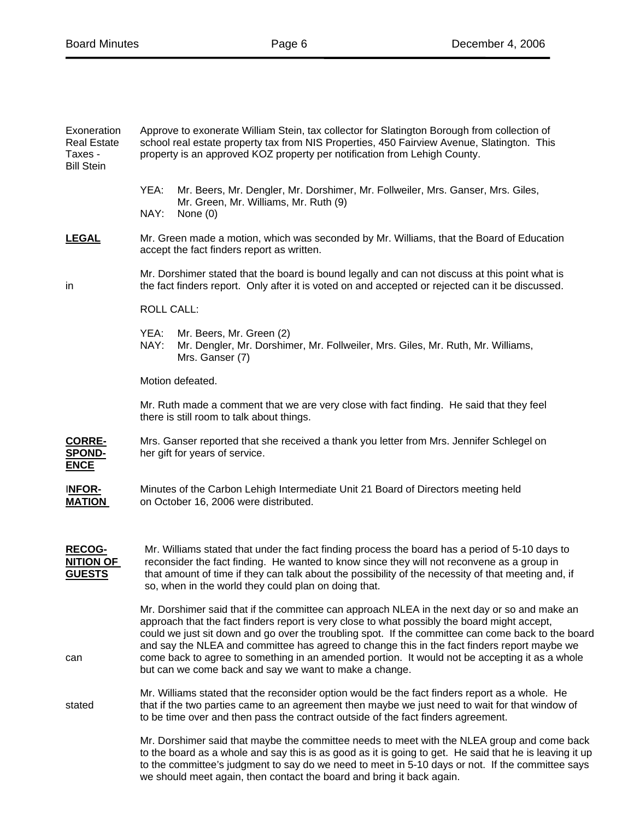| Exoneration<br><b>Real Estate</b><br>Taxes -<br><b>Bill Stein</b> | Approve to exonerate William Stein, tax collector for Slatington Borough from collection of<br>school real estate property tax from NIS Properties, 450 Fairview Avenue, Slatington. This<br>property is an approved KOZ property per notification from Lehigh County.                                                                                                                                                                                                                                                                                         |  |  |  |  |  |  |
|-------------------------------------------------------------------|----------------------------------------------------------------------------------------------------------------------------------------------------------------------------------------------------------------------------------------------------------------------------------------------------------------------------------------------------------------------------------------------------------------------------------------------------------------------------------------------------------------------------------------------------------------|--|--|--|--|--|--|
|                                                                   | Mr. Beers, Mr. Dengler, Mr. Dorshimer, Mr. Follweiler, Mrs. Ganser, Mrs. Giles,<br>YEA:<br>Mr. Green, Mr. Williams, Mr. Ruth (9)<br>NAY:<br>None $(0)$                                                                                                                                                                                                                                                                                                                                                                                                         |  |  |  |  |  |  |
| <b>LEGAL</b>                                                      | Mr. Green made a motion, which was seconded by Mr. Williams, that the Board of Education<br>accept the fact finders report as written.                                                                                                                                                                                                                                                                                                                                                                                                                         |  |  |  |  |  |  |
| in                                                                | Mr. Dorshimer stated that the board is bound legally and can not discuss at this point what is<br>the fact finders report. Only after it is voted on and accepted or rejected can it be discussed.                                                                                                                                                                                                                                                                                                                                                             |  |  |  |  |  |  |
|                                                                   | <b>ROLL CALL:</b>                                                                                                                                                                                                                                                                                                                                                                                                                                                                                                                                              |  |  |  |  |  |  |
|                                                                   | YEA:<br>Mr. Beers, Mr. Green (2)<br>NAY:<br>Mr. Dengler, Mr. Dorshimer, Mr. Follweiler, Mrs. Giles, Mr. Ruth, Mr. Williams,<br>Mrs. Ganser (7)                                                                                                                                                                                                                                                                                                                                                                                                                 |  |  |  |  |  |  |
|                                                                   | Motion defeated.                                                                                                                                                                                                                                                                                                                                                                                                                                                                                                                                               |  |  |  |  |  |  |
|                                                                   | Mr. Ruth made a comment that we are very close with fact finding. He said that they feel<br>there is still room to talk about things.                                                                                                                                                                                                                                                                                                                                                                                                                          |  |  |  |  |  |  |
| <b>CORRE-</b><br><b>SPOND-</b><br><b>ENCE</b>                     | Mrs. Ganser reported that she received a thank you letter from Mrs. Jennifer Schlegel on<br>her gift for years of service.                                                                                                                                                                                                                                                                                                                                                                                                                                     |  |  |  |  |  |  |
| <b>INFOR-</b><br><b>MATION</b>                                    | Minutes of the Carbon Lehigh Intermediate Unit 21 Board of Directors meeting held<br>on October 16, 2006 were distributed.                                                                                                                                                                                                                                                                                                                                                                                                                                     |  |  |  |  |  |  |
| <b>RECOG-</b><br><b>NITION OF</b><br><b>GUESTS</b>                | Mr. Williams stated that under the fact finding process the board has a period of 5-10 days to<br>reconsider the fact finding. He wanted to know since they will not reconvene as a group in<br>that amount of time if they can talk about the possibility of the necessity of that meeting and, if<br>so, when in the world they could plan on doing that.                                                                                                                                                                                                    |  |  |  |  |  |  |
| can                                                               | Mr. Dorshimer said that if the committee can approach NLEA in the next day or so and make an<br>approach that the fact finders report is very close to what possibly the board might accept,<br>could we just sit down and go over the troubling spot. If the committee can come back to the board<br>and say the NLEA and committee has agreed to change this in the fact finders report maybe we<br>come back to agree to something in an amended portion. It would not be accepting it as a whole<br>but can we come back and say we want to make a change. |  |  |  |  |  |  |
| stated                                                            | Mr. Williams stated that the reconsider option would be the fact finders report as a whole. He<br>that if the two parties came to an agreement then maybe we just need to wait for that window of<br>to be time over and then pass the contract outside of the fact finders agreement.                                                                                                                                                                                                                                                                         |  |  |  |  |  |  |
|                                                                   | Mr. Dorshimer said that maybe the committee needs to meet with the NLEA group and come back<br>to the board as a whole and say this is as good as it is going to get. He said that he is leaving it up<br>to the committee's judgment to say do we need to meet in 5-10 days or not. If the committee says<br>we should meet again, then contact the board and bring it back again.                                                                                                                                                                            |  |  |  |  |  |  |